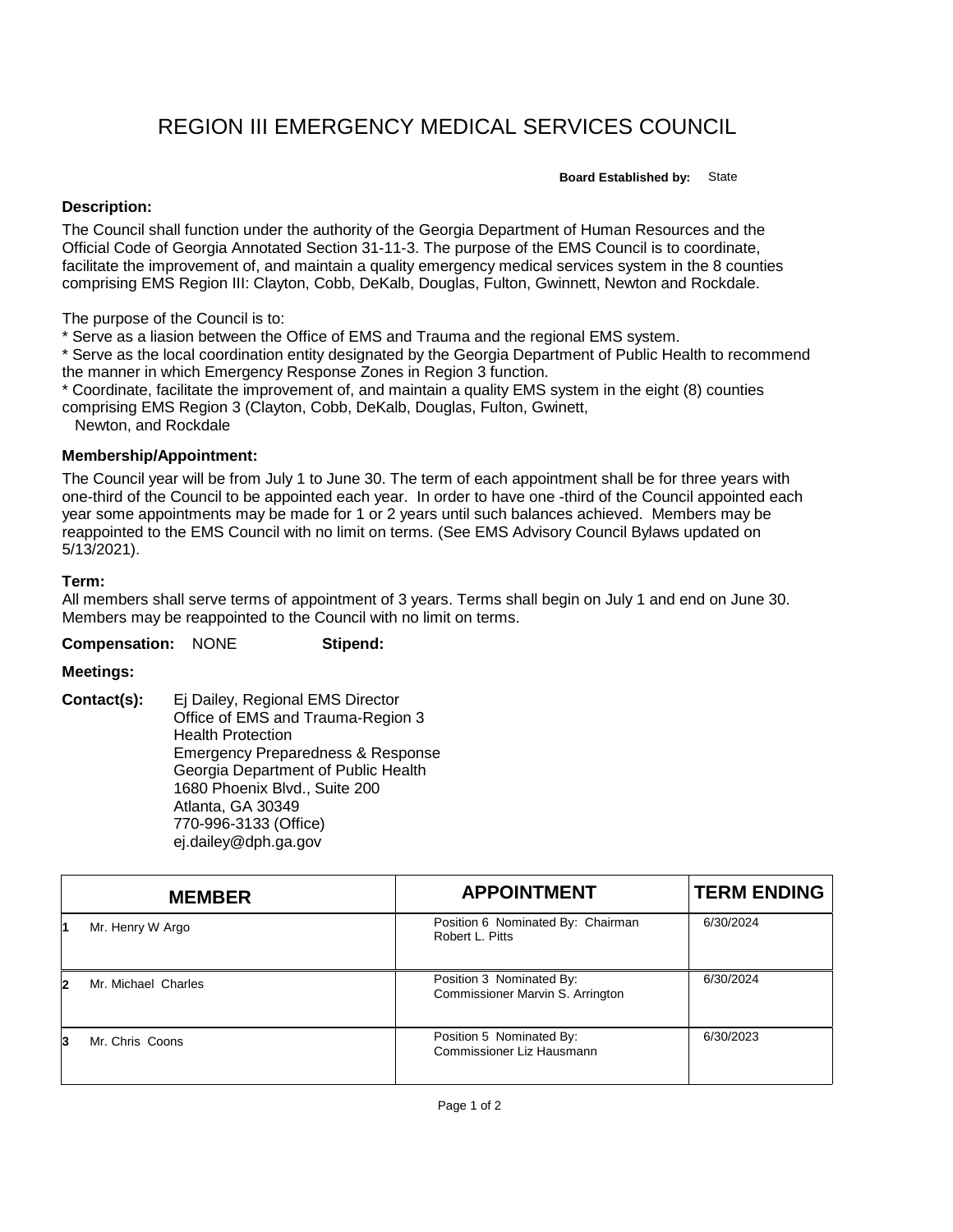# REGION III EMERGENCY MEDICAL SERVICES COUNCIL

**Board Established by:** State

## **Description:**

The Council shall function under the authority of the Georgia Department of Human Resources and the Official Code of Georgia Annotated Section 31-11-3. The purpose of the EMS Council is to coordinate, facilitate the improvement of, and maintain a quality emergency medical services system in the 8 counties comprising EMS Region III: Clayton, Cobb, DeKalb, Douglas, Fulton, Gwinnett, Newton and Rockdale.

The purpose of the Council is to:

\* Serve as a liasion between the Office of EMS and Trauma and the regional EMS system.

\* Serve as the local coordination entity designated by the Georgia Department of Public Health to recommend the manner in which Emergency Response Zones in Region 3 function.

\* Coordinate, facilitate the improvement of, and maintain a quality EMS system in the eight (8) counties comprising EMS Region 3 (Clayton, Cobb, DeKalb, Douglas, Fulton, Gwinett,

Newton, and Rockdale

## **Membership/Appointment:**

The Council year will be from July 1 to June 30. The term of each appointment shall be for three years with one-third of the Council to be appointed each year. In order to have one -third of the Council appointed each year some appointments may be made for 1 or 2 years until such balances achieved. Members may be reappointed to the EMS Council with no limit on terms. (See EMS Advisory Council Bylaws updated on 5/13/2021).

## **Term:**

All members shall serve terms of appointment of 3 years. Terms shall begin on July 1 and end on June 30. Members may be reappointed to the Council with no limit on terms.

**Compensation:** NONE **Stipend:**

### **Meetings:**

**Contact(s):** Ej Dailey, Regional EMS Director Office of EMS and Trauma-Region 3 Health Protection Emergency Preparedness & Response Georgia Department of Public Health 1680 Phoenix Blvd., Suite 200 Atlanta, GA 30349 770-996-3133 (Office) ej.dailey@dph.ga.gov

|    | <b>MEMBER</b>       | <b>APPOINTMENT</b>                                           | <b>TERM ENDING</b> |
|----|---------------------|--------------------------------------------------------------|--------------------|
|    | Mr. Henry W Argo    | Position 6 Nominated By: Chairman<br>Robert L. Pitts         | 6/30/2024          |
| 12 | Mr. Michael Charles | Position 3 Nominated By:<br>Commissioner Marvin S. Arrington | 6/30/2024          |
| 13 | Mr. Chris Coons     | Position 5 Nominated By:<br>Commissioner Liz Hausmann        | 6/30/2023          |